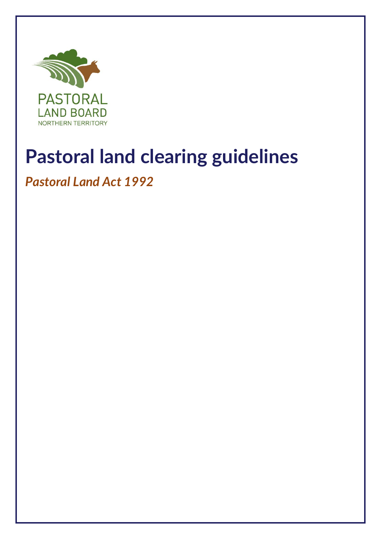

# **Pastoral land clearing guidelines**

## *Pastoral Land Act 1992*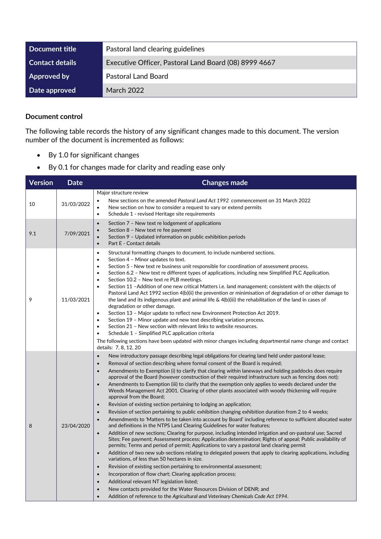| Document title     | Pastoral land clearing guidelines                     |
|--------------------|-------------------------------------------------------|
| Contact details    | Executive Officer, Pastoral Land Board (08) 8999 4667 |
| <b>Approved by</b> | <b>Pastoral Land Board</b>                            |
| Date approved      | March 2022                                            |

#### **Document control**

The following table records the history of any significant changes made to this document. The version number of the document is incremented as follows:

- By 1.0 for significant changes
- By 0.1 for changes made for clarity and reading ease only

| <b>Version</b> | <b>Date</b> | <b>Changes made</b>                                                                                                                                                                                                                                                                                                                                                                                                                                                                                                                                                                                                                                                                                                                                                                                                                                                                                                                                                                                                                                                                                                                                                                                                                                                                                                                                                                                                                                                                                                                                                                                                                                                                                                                                                                                                                                                                                                                                                                                                            |  |
|----------------|-------------|--------------------------------------------------------------------------------------------------------------------------------------------------------------------------------------------------------------------------------------------------------------------------------------------------------------------------------------------------------------------------------------------------------------------------------------------------------------------------------------------------------------------------------------------------------------------------------------------------------------------------------------------------------------------------------------------------------------------------------------------------------------------------------------------------------------------------------------------------------------------------------------------------------------------------------------------------------------------------------------------------------------------------------------------------------------------------------------------------------------------------------------------------------------------------------------------------------------------------------------------------------------------------------------------------------------------------------------------------------------------------------------------------------------------------------------------------------------------------------------------------------------------------------------------------------------------------------------------------------------------------------------------------------------------------------------------------------------------------------------------------------------------------------------------------------------------------------------------------------------------------------------------------------------------------------------------------------------------------------------------------------------------------------|--|
| 10             | 31/03/2022  | Major structure review<br>New sections on the amended Pastoral Land Act 1992 commencement on 31 March 2022<br>$\bullet$<br>New section on how to consider a request to vary or extend permits<br>$\bullet$<br>Schedule 1 - revised Heritage site requirements<br>$\bullet$                                                                                                                                                                                                                                                                                                                                                                                                                                                                                                                                                                                                                                                                                                                                                                                                                                                                                                                                                                                                                                                                                                                                                                                                                                                                                                                                                                                                                                                                                                                                                                                                                                                                                                                                                     |  |
| 9.1            | 7/09/2021   | Section 7 - New text re lodgement of applications<br>$\bullet$<br>Section 8 - New text re fee payment<br>$\bullet$<br>Section 9 - Updated information on public exhibition periods<br>$\bullet$<br>Part E - Contact details<br>$\bullet$                                                                                                                                                                                                                                                                                                                                                                                                                                                                                                                                                                                                                                                                                                                                                                                                                                                                                                                                                                                                                                                                                                                                                                                                                                                                                                                                                                                                                                                                                                                                                                                                                                                                                                                                                                                       |  |
| 9              | 11/03/2021  | Structural formatting changes to document, to include numbered sections.<br>$\bullet$<br>Section 4 - Minor updates to text.<br>$\bullet$<br>Section 5 - New text re business unit responsible for coordination of assessment process.<br>$\bullet$<br>Section 6.2 - New text re different types of applications, including new Simplified PLC Application.<br>$\bullet$<br>Section 10.2 - New text re PLB meetings.<br>$\bullet$<br>Section 11 - Addition of one new critical Matters i.e. land management; consistent with the objects of<br>$\bullet$<br>Pastoral Land Act 1992 section 4(b)(ii) the prevention or minimisation of degradation of or other damage to<br>the land and its indigenous plant and animal life $\&$ 4(b)(iii) the rehabilitation of the land in cases of<br>degradation or other damage.<br>Section 13 - Major update to reflect new Environment Protection Act 2019.<br>$\bullet$<br>Section 19 - Minor update and new text describing variation process.<br>$\bullet$<br>Section 21 - New section with relevant links to website resources.<br>$\bullet$<br>Schedule 1 - Simplified PLC application criteria<br>$\bullet$<br>The following sections have been updated with minor changes including departmental name change and contact<br>details: 7, 8, 12, 20                                                                                                                                                                                                                                                                                                                                                                                                                                                                                                                                                                                                                                                                                                                                |  |
| 8              | 23/04/2020  | New introductory passage describing legal obligations for clearing land held under pastoral lease;<br>$\bullet$<br>Removal of section describing where formal consent of the Board is required;<br>$\bullet$<br>Amendments to Exemption (i) to clarify that clearing within laneways and holding paddocks does require<br>$\bullet$<br>approval of the Board (however construction of their required infrastructure such as fencing does not);<br>Amendments to Exemption (iii) to clarify that the exemption only applies to weeds declared under the<br>$\bullet$<br>Weeds Management Act 2001. Clearing of other plants associated with woody thickening will require<br>approval from the Board;<br>Revision of existing section pertaining to lodging an application;<br>$\bullet$<br>Revision of section pertaining to public exhibition changing exhibition duration from 2 to 4 weeks;<br>$\bullet$<br>Amendments to 'Matters to be taken into account by Board' including reference to sufficient allocated water<br>and definitions in the NTPS Land Clearing Guidelines for water features;<br>Addition of new sections; Clearing for purpose, including intended irrigation and on-pastoral use; Sacred<br>$\bullet$<br>Sites; Fee payment; Assessment process; Application determination; Rights of appeal; Public availability of<br>permits; Terms and period of permit; Applications to vary a pastoral land clearing permit<br>Addition of two new sub-sections relating to delegated powers that apply to clearing applications, including<br>$\bullet$<br>variations, of less than 50 hectares in size.<br>Revision of existing section pertaining to environmental assessment;<br>$\bullet$<br>Incorporation of flow chart; Clearing application process;<br>$\bullet$<br>Additional relevant NT legislation listed;<br>$\bullet$<br>New contacts provided for the Water Resources Division of DENR; and<br>Addition of reference to the Agricultural and Veterinary Chemicals Code Act 1994.<br>$\bullet$ |  |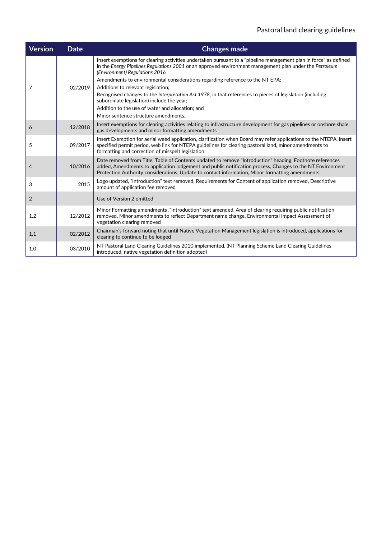| <b>Version</b> | <b>Date</b> | <b>Changes made</b>                                                                                                                                                                                                                                                                                                                                                                    |
|----------------|-------------|----------------------------------------------------------------------------------------------------------------------------------------------------------------------------------------------------------------------------------------------------------------------------------------------------------------------------------------------------------------------------------------|
| 7              | 02/2019     | Insert exemptions for clearing activities undertaken pursuant to a "pipeline management plan in force" as defined<br>in the Energy Pipelines Regulations 2001 or an approved environment management plan under the Petroleum<br>(Environment) Regulations 2016.<br>Amendments to environmental considerations regarding reference to the NT EPA;<br>Additions to relevant legislation; |
|                |             | Recognised changes to the Interpretation Act 1978, in that references to pieces of legislation (including<br>subordinate legislation) include the year;<br>Addition to the use of water and allocation: and<br>Minor sentence structure amendments.                                                                                                                                    |
| 6              | 12/2018     | Insert exemptions for clearing activities relating to infrastructure development for gas pipelines or onshore shale<br>gas developments and minor formatting amendments                                                                                                                                                                                                                |
| 5              | 09/2017     | Insert Exemption for aerial weed application, clarification when Board may refer applications to the NTEPA, insert<br>specified permit period, web link for NTEPA guidelines for clearing pastoral land, minor amendments to<br>formatting and correction of misspelt legislation                                                                                                      |
| 4              | 10/2016     | Date removed from Title, Table of Contents updated to remove "Introduction" heading, Footnote references<br>added, Amendments to application lodgement and public notification process, Changes to the NT Environment<br>Protection Authority considerations, Update to contact information, Minor formatting amendments                                                               |
| 3              | 2015        | Logo updated, "Introduction" text removed, Requirements for Content of application removed, Descriptive<br>amount of application fee removed                                                                                                                                                                                                                                           |
| $\overline{2}$ |             | Use of Version 2 omitted                                                                                                                                                                                                                                                                                                                                                               |
| 1.2            | 12/2012     | Minor Formatting amendments, "Introduction" text amended, Area of clearing requiring public notification<br>removed, Minor amendments to reflect Department name change, Environmental Impact Assessment of<br>vegetation clearing removed                                                                                                                                             |
| 1.1            | 02/2012     | Chairman's forward noting that until Native Vegetation Management legislation is introduced, applications for<br>clearing to continue to be lodged                                                                                                                                                                                                                                     |
| 1.0            | 03/2010     | NT Pastoral Land Clearing Guidelines 2010 implemented, (NT Planning Scheme Land Clearing Guidelines<br>introduced, native vegetation definition adopted)                                                                                                                                                                                                                               |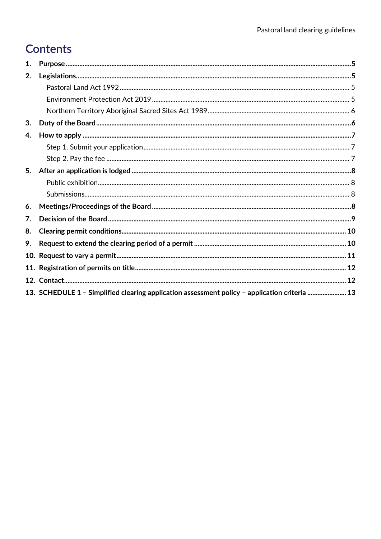### **Contents**

| 1.  |                                                                                               |  |
|-----|-----------------------------------------------------------------------------------------------|--|
| 2.  |                                                                                               |  |
|     |                                                                                               |  |
|     |                                                                                               |  |
|     |                                                                                               |  |
| 3.  |                                                                                               |  |
| 4.  |                                                                                               |  |
|     |                                                                                               |  |
|     |                                                                                               |  |
| 5.  |                                                                                               |  |
|     |                                                                                               |  |
|     |                                                                                               |  |
| 6.  |                                                                                               |  |
| 7.  |                                                                                               |  |
| 8.  |                                                                                               |  |
| 9.  |                                                                                               |  |
| 10. |                                                                                               |  |
| 11. |                                                                                               |  |
|     |                                                                                               |  |
|     | 13. SCHEDULE 1 - Simplified clearing application assessment policy - application criteria  13 |  |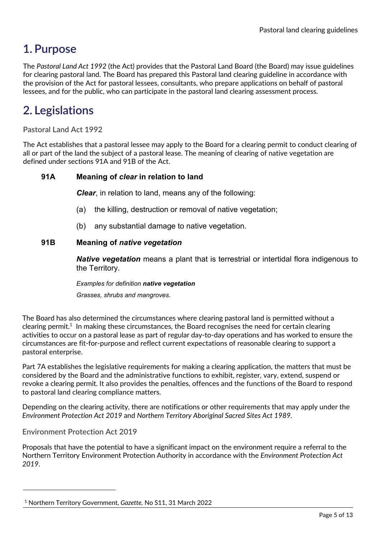### <span id="page-4-0"></span>**1. Purpose**

The *Pastoral Land Act 1992* (the Act) provides that the Pastoral Land Board (the Board) may issue guidelines for clearing pastoral land. The Board has prepared this Pastoral land clearing guideline in accordance with the provision of the Act for pastoral lessees, consultants, who prepare applications on behalf of pastoral lessees, and for the public, who can participate in the pastoral land clearing assessment process.

### <span id="page-4-1"></span>**2. Legislations**

<span id="page-4-2"></span>**Pastoral Land Act 1992**

The Act establishes that a pastoral lessee may apply to the Board for a clearing permit to conduct clearing of all or part of the land the subject of a pastoral lease. The meaning of clearing of native vegetation are defined under sections 91A and 91B of the Act.

#### **91A Meaning of** *clear* **in relation to land**

*Clear*, in relation to land, means any of the following:

- (a) the killing, destruction or removal of native vegetation;
- (b) any substantial damage to native vegetation.

#### **91B Meaning of** *native vegetation*

*Native vegetation* means a plant that is terrestrial or intertidal flora indigenous to the Territory.

*Examples for definition native vegetation Grasses, shrubs and mangroves.*

The Board has also determined the circumstances where clearing pastoral land is permitted without a clearing permit.<sup>[1](#page-4-4)</sup> In making these circumstances, the Board recognises the need for certain clearing activities to occur on a pastoral lease as part of regular day-to-day operations and has worked to ensure the circumstances are fit-for-purpose and reflect current expectations of reasonable clearing to support a pastoral enterprise.

Part 7A establishes the legislative requirements for making a clearing application, the matters that must be considered by the Board and the administrative functions to exhibit, register, vary, extend, suspend or revoke a clearing permit. It also provides the penalties, offences and the functions of the Board to respond to pastoral land clearing compliance matters.

Depending on the clearing activity, there are notifications or other requirements that may apply under the *Environment Protection Act 2019* and *Northern Territory Aboriginal Sacred Sites Act 1989.* 

<span id="page-4-3"></span>**Environment Protection Act 2019** 

Proposals that have the potential to have a significant impact on the environment require a referral to the Northern Territory Environment Protection Authority in accordance with the *Environment Protection Act 2019*.

<span id="page-4-4"></span><sup>1</sup> Northern Territory Government, *Gazette,* No S11, 31 March 2022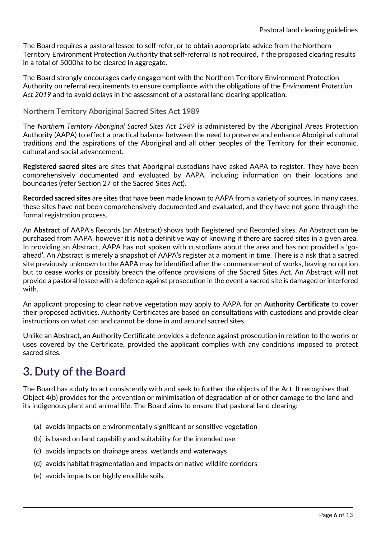The Board requires a pastoral lessee to self-refer, or to obtain appropriate advice from the Northern Territory Environment Protection Authority that self-referral is not required, if the proposed clearing results in a total of 5000ha to be cleared in aggregate.

The Board strongly encourages early engagement with the Northern Territory Environment Protection Authority on referral requirements to ensure compliance with the obligations of the *Environment Protection Act 2019* and to avoid delays in the assessment of a pastoral land clearing application.

<span id="page-5-0"></span>**Northern Territory Aboriginal Sacred Sites Act 1989** 

The *Northern Territory Aboriginal Sacred Sites Act 1989* is administered by the Aboriginal Areas Protection Authority (AAPA) to effect a practical balance between the need to preserve and enhance Aboriginal cultural traditions and the aspirations of the Aboriginal and all other peoples of the Territory for their economic, cultural and social advancement.

**Registered sacred sites** are sites that Aboriginal custodians have asked AAPA to register. They have been comprehensively documented and evaluated by AAPA, including information on their locations and boundaries (refer Section 27 of the Sacred Sites Act).

**Recorded sacred sites** are sites that have been made known to AAPA from a variety of sources. In many cases, these sites have not been comprehensively documented and evaluated, and they have not gone through the formal registration process.

An **Abstract** of AAPA's Records (an Abstract) shows both Registered and Recorded sites. An Abstract can be purchased from AAPA, however it is not a definitive way of knowing if there are sacred sites in a given area. In providing an Abstract, AAPA has not spoken with custodians about the area and has not provided a 'goahead'. An Abstract is merely a snapshot of AAPA's register at a moment in time. There is a risk that a sacred site previously unknown to the AAPA may be identified after the commencement of works, leaving no option but to cease works or possibly breach the offence provisions of the Sacred Sites Act. An Abstract will not provide a pastoral lessee with a defence against prosecution in the event a sacred site is damaged or interfered with.

An applicant proposing to clear native vegetation may apply to AAPA for an **Authority Certificate** to cover their proposed activities. Authority Certificates are based on consultations with custodians and provide clear instructions on what can and cannot be done in and around sacred sites.

Unlike an Abstract, an Authority Certificate provides a defence against prosecution in relation to the works or uses covered by the Certificate, provided the applicant complies with any conditions imposed to protect sacred sites.

### <span id="page-5-1"></span>**3. Duty of the Board**

The Board has a duty to act consistently with and seek to further the objects of the Act. It recognises that Object 4(b) provides for the prevention or minimisation of degradation of or other damage to the land and its indigenous plant and animal life. The Board aims to ensure that pastoral land clearing:

- (a) avoids impacts on environmentally significant or sensitive vegetation
- (b) is based on land capability and suitability for the intended use
- (c) avoids impacts on drainage areas, wetlands and waterways
- (d) avoids habitat fragmentation and impacts on native wildlife corridors
- (e) avoids impacts on highly erodible soils.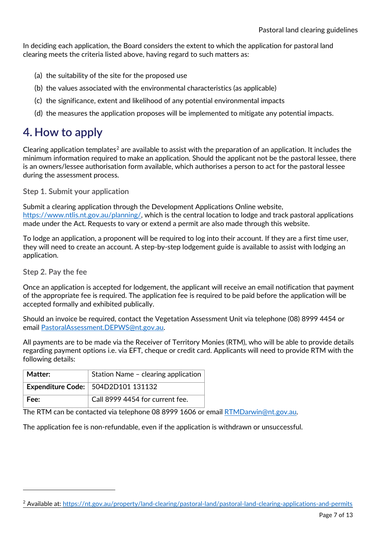In deciding each application, the Board considers the extent to which the application for pastoral land clearing meets the criteria listed above, having regard to such matters as:

- (a) the suitability of the site for the proposed use
- (b) the values associated with the environmental characteristics (as applicable)
- (c) the significance, extent and likelihood of any potential environmental impacts
- (d) the measures the application proposes will be implemented to mitigate any potential impacts.

### <span id="page-6-0"></span>**4. How to apply**

Clearing application templates<sup>[2](#page-6-3)</sup> are available to assist with the preparation of an application. It includes the minimum information required to make an application. Should the applicant not be the pastoral lessee, there is an owners/lessee authorisation form available, which authorises a person to act for the pastoral lessee during the assessment process.

<span id="page-6-1"></span>**Step 1. Submit your application**

Submit a clearing application through the Development Applications Online website, [https://www.ntlis.nt.gov.au/planning/,](https://www.ntlis.nt.gov.au/planning/) which is the central location to lodge and track pastoral applications made under the Act. Requests to vary or extend a permit are also made through this website.

To lodge an application, a proponent will be required to log into their account. If they are a first time user, they will need to create an account. A step-by-step lodgement guide is available to assist with lodging an application.

<span id="page-6-2"></span>**Step 2. Pay the fee**

Once an application is accepted for lodgement, the applicant will receive an email notification that payment of the appropriate fee is required. The application fee is required to be paid before the application will be accepted formally and exhibited publically.

Should an invoice be required, contact the Vegetation Assessment Unit via telephone (08) 8999 4454 or email [PastoralAssessment.DEPWS@nt.gov.au.](mailto:PastoralAssessment.DEPWS@nt.gov.au)

All payments are to be made via the Receiver of Territory Monies (RTM), who will be able to provide details regarding payment options i.e. via EFT, cheque or credit card. Applicants will need to provide RTM with the following details:

| Matter: | Station Name - clearing application       |  |
|---------|-------------------------------------------|--|
|         | <b>Expenditure Code: 504D2D101 131132</b> |  |
| Fee:    | Call 8999 4454 for current fee.           |  |

The RTM can be contacted via telephone 08 8999 1606 or email [RTMDarwin@nt.gov.au.](mailto:RTMDarwin@nt.gov.au) 

The application fee is non-refundable, even if the application is withdrawn or unsuccessful.

<span id="page-6-3"></span><sup>2</sup> Available at:<https://nt.gov.au/property/land-clearing/pastoral-land/pastoral-land-clearing-applications-and-permits>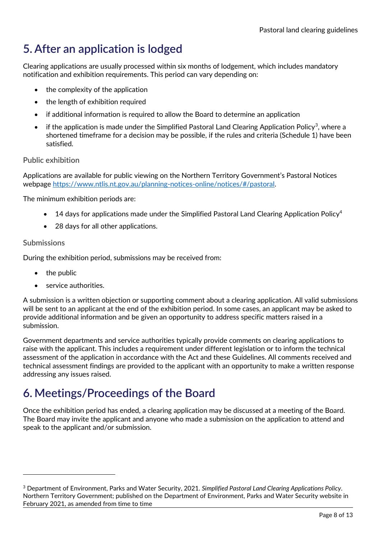### <span id="page-7-0"></span>**5. After an application is lodged**

Clearing applications are usually processed within six months of lodgement, which includes mandatory notification and exhibition requirements. This period can vary depending on:

- the complexity of the application
- the length of exhibition required
- if additional information is required to allow the Board to determine an application
- if the application is made under the Simplified Pastoral Land Clearing Application Policy<sup>3</sup>, where a shortened timeframe for a decision may be possible, if the rules and criteria (Schedule 1) have been satisfied.

#### <span id="page-7-1"></span>**Public exhibition**

Applications are available for public viewing on the Northern Territory Government's Pastoral Notices webpage [https://www.ntlis.nt.gov.au/planning-notices-online/notices/#/pastoral.](https://www.ntlis.nt.gov.au/planning-notices-online/notices/#/pastoral)

The minimum exhibition periods are:

- 14 days for applications made under the Simplified Pastoral Land Clearing Application Policy<sup>4</sup>
- 28 days for all other applications.

#### <span id="page-7-2"></span>**Submissions**

During the exhibition period, submissions may be received from:

- the public
- service authorities.

A submission is a written objection or supporting comment about a clearing application. All valid submissions will be sent to an applicant at the end of the exhibition period. In some cases, an applicant may be asked to provide additional information and be given an opportunity to address specific matters raised in a submission.

Government departments and service authorities typically provide comments on clearing applications to raise with the applicant. This includes a requirement under different legislation or to inform the technical assessment of the application in accordance with the Act and these Guidelines. All comments received and technical assessment findings are provided to the applicant with an opportunity to make a written response addressing any issues raised.

### <span id="page-7-3"></span>**6. Meetings/Proceedings of the Board**

Once the exhibition period has ended, a clearing application may be discussed at a meeting of the Board. The Board may invite the applicant and anyone who made a submission on the application to attend and speak to the applicant and/or submission.

<span id="page-7-4"></span><sup>3</sup> Department of Environment, Parks and Water Security, 2021. *Simplified Pastoral Land Clearing Applications Policy*. Northern Territory Government; published on the Department of Environment, Parks and Water Security website in February 2021, as amended from time to time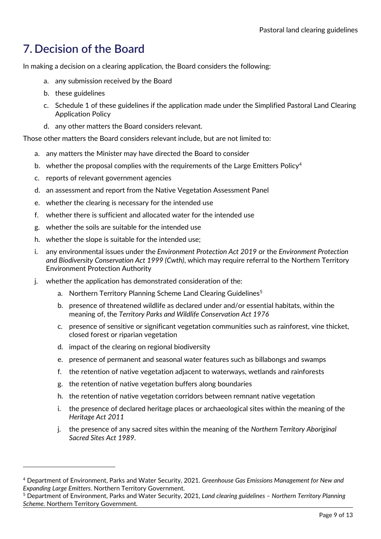### <span id="page-8-0"></span>**7. Decision of the Board**

In making a decision on a clearing application, the Board considers the following:

- a. any submission received by the Board
- b. these guidelines
- c. Schedule 1 of these guidelines if the application made under the Simplified Pastoral Land Clearing Application Policy
- d. any other matters the Board considers relevant.

Those other matters the Board considers relevant include, but are not limited to:

- a. any matters the Minister may have directed the Board to consider
- b. whether the proposal complies with the requirements of the Large Emitters Policy<sup>[4](#page-8-1)</sup>
- c. reports of relevant government agencies
- d. an assessment and report from the Native Vegetation Assessment Panel
- e. whether the clearing is necessary for the intended use
- f. whether there is sufficient and allocated water for the intended use
- g. whether the soils are suitable for the intended use
- h. whether the slope is suitable for the intended use;
- i. any environmental issues under the *Environment Protection Act 2019* or the *Environment Protection and Biodiversity Conservation Act 1999 (Cwth)*, which may require referral to the Northern Territory Environment Protection Authority
- j. whether the application has demonstrated consideration of the:
	- a. Northern Territory Planning Scheme Land Clearing Guidelines<sup>[5](#page-8-2)</sup>
	- b. presence of threatened wildlife as declared under and/or essential habitats, within the meaning of, the *Territory Parks and Wildlife Conservation Act 1976*
	- c. presence of sensitive or significant vegetation communities such as rainforest, vine thicket, closed forest or riparian vegetation
	- d. impact of the clearing on regional biodiversity
	- e. presence of permanent and seasonal water features such as billabongs and swamps
	- f. the retention of native vegetation adjacent to waterways, wetlands and rainforests
	- g. the retention of native vegetation buffers along boundaries
	- h. the retention of native vegetation corridors between remnant native vegetation
	- i. the presence of declared heritage places or archaeological sites within the meaning of the *Heritage Act 2011*
	- j. the presence of any sacred sites within the meaning of the *Northern Territory Aboriginal Sacred Sites Act 1989*.

<span id="page-8-1"></span><sup>4</sup> Department of Environment, Parks and Water Security, 2021. *Greenhouse Gas Emissions Management for New and Expanding Large Emitters*. Northern Territory Government.

<span id="page-8-2"></span><sup>5</sup> Department of Environment, Parks and Water Security, 2021, *Land clearing guidelines – Northern Territory Planning Scheme.* Northern Territory Government.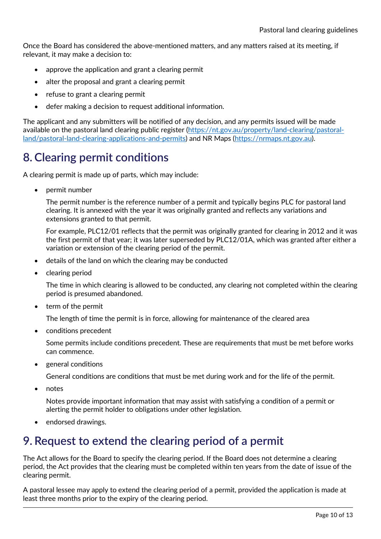Once the Board has considered the above-mentioned matters, and any matters raised at its meeting, if relevant, it may make a decision to:

- approve the application and grant a clearing permit
- alter the proposal and grant a clearing permit
- refuse to grant a clearing permit
- defer making a decision to request additional information.

The applicant and any submitters will be notified of any decision, and any permits issued will be made available on the pastoral land clearing public register [\(https://nt.gov.au/property/land-clearing/pastoral](https://nt.gov.au/property/land-clearing/pastoral-land/pastoral-land-clearing-applications-and-permits)[land/pastoral-land-clearing-applications-and-permits\)](https://nt.gov.au/property/land-clearing/pastoral-land/pastoral-land-clearing-applications-and-permits) and NR Maps [\(https://nrmaps.nt.gov.au\)](https://nrmaps.nt.gov.au/).

### <span id="page-9-0"></span>**8. Clearing permit conditions**

A clearing permit is made up of parts, which may include:

• permit number

The permit number is the reference number of a permit and typically begins PLC for pastoral land clearing. It is annexed with the year it was originally granted and reflects any variations and extensions granted to that permit.

For example, PLC12/01 reflects that the permit was originally granted for clearing in 2012 and it was the first permit of that year; it was later superseded by PLC12/01A, which was granted after either a variation or extension of the clearing period of the permit.

- details of the land on which the clearing may be conducted
- clearing period

The time in which clearing is allowed to be conducted, any clearing not completed within the clearing period is presumed abandoned.

• term of the permit

The length of time the permit is in force, allowing for maintenance of the cleared area

• conditions precedent

Some permits include conditions precedent. These are requirements that must be met before works can commence.

• general conditions

General conditions are conditions that must be met during work and for the life of the permit.

• notes

Notes provide important information that may assist with satisfying a condition of a permit or alerting the permit holder to obligations under other legislation.

• endorsed drawings.

### <span id="page-9-1"></span>**9. Request to extend the clearing period of a permit**

The Act allows for the Board to specify the clearing period. If the Board does not determine a clearing period, the Act provides that the clearing must be completed within ten years from the date of issue of the clearing permit.

A pastoral lessee may apply to extend the clearing period of a permit, provided the application is made at least three months prior to the expiry of the clearing period.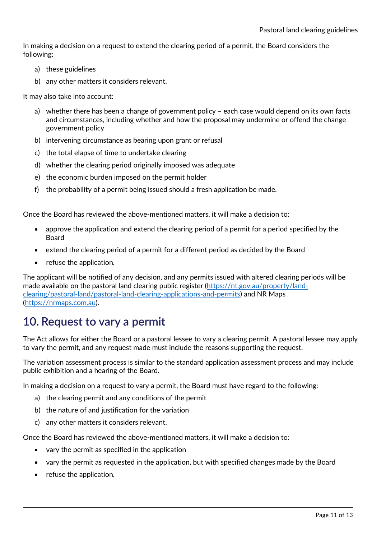In making a decision on a request to extend the clearing period of a permit, the Board considers the following:

- a) these guidelines
- b) any other matters it considers relevant.

It may also take into account:

- a) whether there has been a change of government policy each case would depend on its own facts and circumstances, including whether and how the proposal may undermine or offend the change government policy
- b) intervening circumstance as bearing upon grant or refusal
- c) the total elapse of time to undertake clearing
- d) whether the clearing period originally imposed was adequate
- e) the economic burden imposed on the permit holder
- f) the probability of a permit being issued should a fresh application be made.

Once the Board has reviewed the above-mentioned matters, it will make a decision to:

- approve the application and extend the clearing period of a permit for a period specified by the Board
- extend the clearing period of a permit for a different period as decided by the Board
- refuse the application.

The applicant will be notified of any decision, and any permits issued with altered clearing periods will be made available on the pastoral land clearing public register [\(https://nt.gov.au/property/land](https://nt.gov.au/property/land-clearing/pastoral-land/pastoral-land-clearing-applications-and-permits)[clearing/pastoral-land/pastoral-land-clearing-applications-and-permits\)](https://nt.gov.au/property/land-clearing/pastoral-land/pastoral-land-clearing-applications-and-permits) and NR Maps [\(https://nrmaps.com.au\)](https://nrmaps.com.au/).

### <span id="page-10-0"></span>**10. Request to vary a permit**

The Act allows for either the Board or a pastoral lessee to vary a clearing permit. A pastoral lessee may apply to vary the permit, and any request made must include the reasons supporting the request.

The variation assessment process is similar to the standard application assessment process and may include public exhibition and a hearing of the Board.

In making a decision on a request to vary a permit, the Board must have regard to the following:

- a) the clearing permit and any conditions of the permit
- b) the nature of and justification for the variation
- c) any other matters it considers relevant.

Once the Board has reviewed the above-mentioned matters, it will make a decision to:

- vary the permit as specified in the application
- vary the permit as requested in the application, but with specified changes made by the Board
- refuse the application.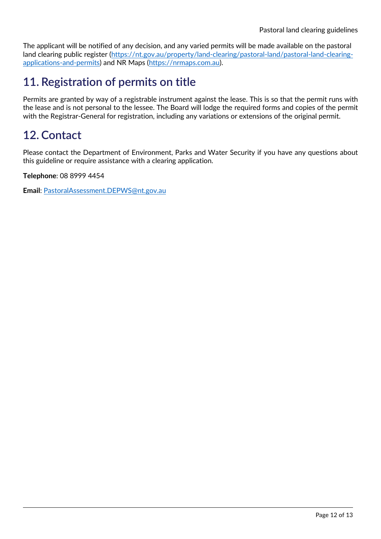The applicant will be notified of any decision, and any varied permits will be made available on the pastoral land clearing public register [\(https://nt.gov.au/property/land-clearing/pastoral-land/pastoral-land-clearing](https://nt.gov.au/property/land-clearing/pastoral-land/pastoral-land-clearing-applications-and-permits)[applications-and-permits\)](https://nt.gov.au/property/land-clearing/pastoral-land/pastoral-land-clearing-applications-and-permits) and NR Maps [\(https://nrmaps.com.au\)](https://nrmaps.com.au/).

### <span id="page-11-0"></span>**11. Registration of permits on title**

Permits are granted by way of a registrable instrument against the lease. This is so that the permit runs with the lease and is not personal to the lessee. The Board will lodge the required forms and copies of the permit with the Registrar-General for registration, including any variations or extensions of the original permit.

### <span id="page-11-1"></span>**12. Contact**

Please contact the Department of Environment, Parks and Water Security if you have any questions about this guideline or require assistance with a clearing application.

**Telephone**: 08 8999 4454

**Email**: [PastoralAssessment.DEPWS@nt.gov.au](mailto:PastoralAssessment.DEPWS@nt.gov.au)